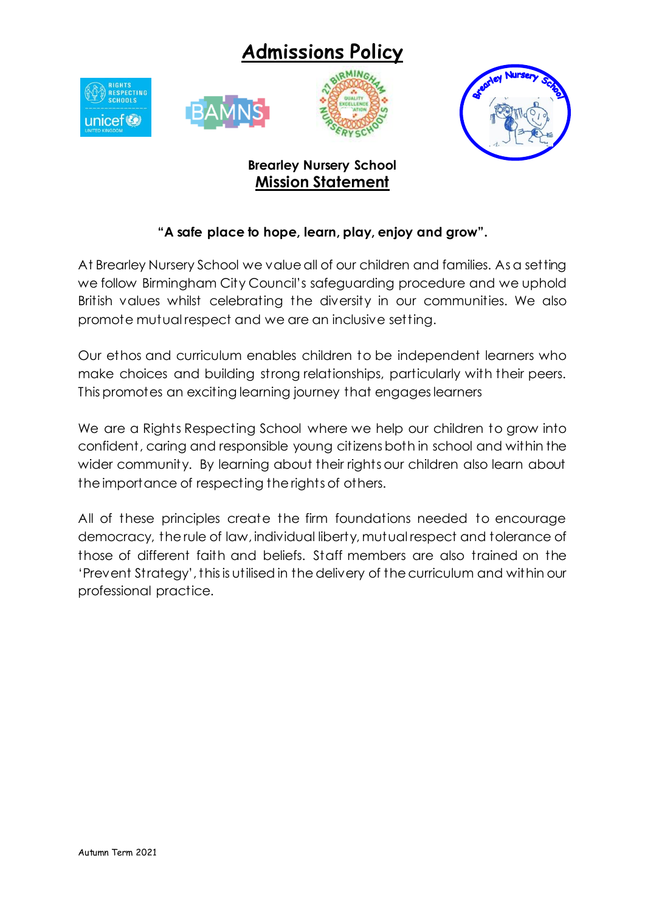# **Admissions Policy**





## **Brearley Nursery School Mission Statement**

### **"A safe place to hope, learn, play, enjoy and grow".**

At Brearley Nursery School we value all of our children and families. As a setting we follow Birmingham City Council's safeguarding procedure and we uphold British values whilst celebrating the diversity in our communities. We also promote mutual respect and we are an inclusive setting.

Our ethos and curriculum enables children to be independent learners who make choices and building strong relationships, particularly with their peers. This promotes an exciting learning journey that engages learners

We are a Rights Respecting School where we help our children to grow into confident, caring and responsible young citizens both in school and within the wider community. By learning about their rights our children also learn about the importance of respecting the rights of others.

All of these principles create the firm foundations needed to encourage democracy, the rule of law, individual liberty, mutual respect and tolerance of those of different faith and beliefs. Staff members are also trained on the 'Prevent Strategy', this is utilised in the delivery of the curriculum and within our professional practice.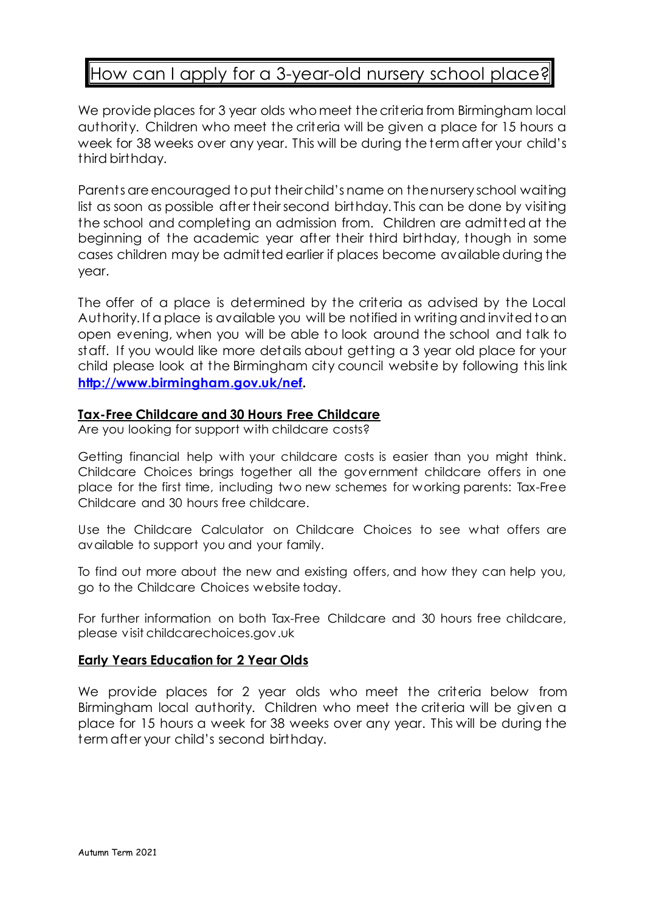## How can I apply for a 3-year-old nursery school place?

We provide places for 3 year olds who meet the criteria from Birmingham local authority. Children who meet the criteria will be given a place for 15 hours a week for 38 weeks over any year. This will be during the term after your child's third birthday.

Parents are encouraged to put their child's name on the nursery school waiting list as soon as possible after their second birthday. This can be done by visiting the school and completing an admission from. Children are admitted at the beginning of the academic year after their third birthday, though in some cases children may be admitted earlier if places become available during the year.

The offer of a place is determined by the criteria as advised by the Local Authority. If a place is available you will be notified in writing and invited to an open evening, when you will be able to look around the school and talk to staff. If you would like more details about getting a 3 year old place for your child please look at the Birmingham city council website by following this link **[http://www.birmingham.gov.uk/nef.](http://www.birmingham.gov.uk/nef)**

#### **Tax-Free Childcare and 30 Hours Free Childcare**

Are you looking for support with childcare costs?

Getting financial help with your childcare costs is easier than you might think. Childcare Choices brings together all the government childcare offers in one place for the first time, including two new schemes for working parents: Tax-Free Childcare and 30 hours free childcare.

Use the Childcare Calculator on Childcare Choices to see what offers are available to support you and your family.

To find out more about the new and existing offers, and how they can help you, go to the Childcare Choices website today.

For further information on both Tax-Free Childcare and 30 hours free childcare, please visit childcarechoices.gov.uk

#### **Early Years Education for 2 Year Olds**

We provide places for 2 year olds who meet the criteria below from Birmingham local authority. Children who meet the criteria will be given a place for 15 hours a week for 38 weeks over any year. This will be during the term after your child's second birthday.